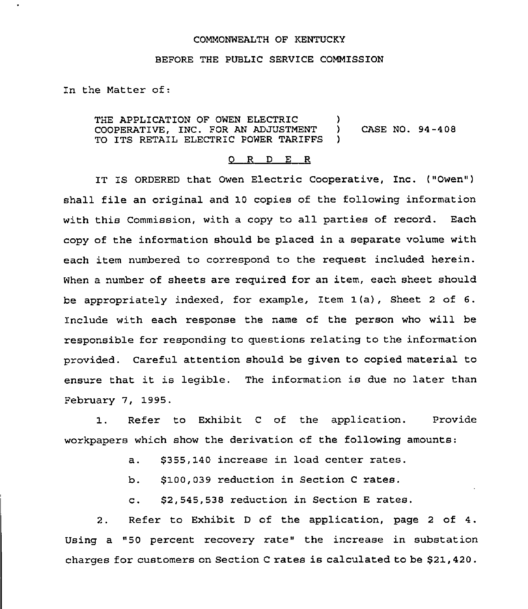## COMMONWEALTH OF KENTUCKY

## BEFORE THE PUBLIC SERVICE COMMISSION

In the Matter of:

THE APPLICATION OF OWEN ELECTRIC (1)<br>COOPERATIVE. INC. FOR AN ADJUSTMENT (1) COOPERATIVE, INC. FOR AN ADJUSTMENT ) CASE NO. 94-408 TO ITS RETAIL ELECTRIC POWER TARIFFS

## 0 R <sup>D</sup> E R

IT IS ORDERED that Owen Electric Cooperative, Inc. ("Owen" ) shall file an original and 10 copies of the following information with this Commission, with a copy to all parties of record. Each copy of the information should be placed in a separate volume with each item numbered to correspond to the request included herein. When a number of sheets are required for an item, each sheet should be appropriately indexed, for example, Item 1(a), Sheet <sup>2</sup> of 6. Include with each response the name of the person who will be responsible for responding to questions relating to the information provided. Careful attention should be given to copied material to ensure that it is legible. The information is due no later than February 7, 1995.

Refer to Exhibit <sup>C</sup> of the application. Provide  $1.$ workpapers which show the derivation of the following amounts:

- a. 8355, 140 increase in load center rates.
- b. \$100,039 reduction in Section <sup>C</sup> rates.
- c. 82,545,538 reduction in Section <sup>E</sup> rates.

2. Refer to Exhibit <sup>D</sup> of the application, page <sup>2</sup> of 4. Using a "50 percent recovery rate" the increase in substation charges for customers on Section <sup>C</sup> rates is calculated to be \$21,420.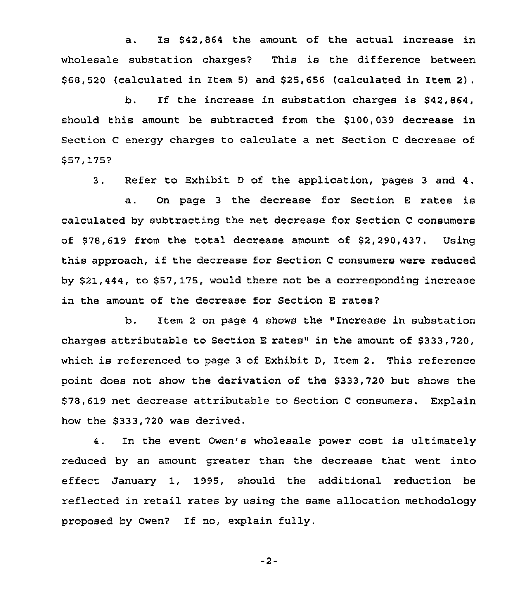a. Is \$42,864 the amount of the actual increase in wholesale substation charges? This is the difference between \$ 68,520 (calculated in Item 5) and \$25,656 (calculated in Item 2).

b. If the increase in substation charges is \$42,864, should this amount be subtracted from the \$100,039 decrease in Section <sup>C</sup> energy charges to calculate a net Section <sup>C</sup> decrease of \$57,175?

3. Refer to Exhibit <sup>D</sup> of the application, pages <sup>3</sup> and 4.

a. On page <sup>3</sup> the decrease for Section <sup>E</sup> rates is calculated by subtracting the net decrease for Section <sup>C</sup> consumers of \$78,619 from the total decrease amount of \$2,290,437. Using this approach, if the decrease for Section <sup>C</sup> consumers were reduced by \$21,444, to \$57,175, would there not be a corresponding increase in the amount of the decrease for Section E rates?

b. Item <sup>2</sup> on page <sup>4</sup> shows the "Increase in substation charges attributable to Section <sup>E</sup> rates" in the amount of \$333,720, which is referenced to page <sup>3</sup> of Exhibit D, Item 2. This reference point does not show the derivation of the \$333,720 but shows the \$78,619 net decrease attributable to Section <sup>C</sup> consumers. Explain how the \$333,720 was derived.

4. In the event Owen's wholesale power cost is ultimately reduced by an amount greater than the decrease that went into effect January 1, 1995, should the additional reduction be reflected in retail rates by using the same allocation methodology proposed by Owen? If no, explain fully.

 $-2-$